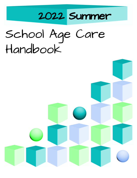

# School Age Care Handbook

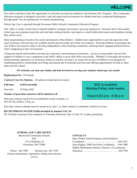# WEL CON

The staff would like to take this opportunity to welcome you and your children to the Summer SAC Program. This Community Education program is designed to provide a safe and supervised environment for children that have completed Kindergarten through grade 5 by the opening day of summer programming.

School Age Care is operated through Owatonna Public Schools Community Education Program.

SAC offers a variety of activities to channel children's energies into positive growing experiences. Research shows that quality school-age care programs keep kids safe and help working families, and improve overall child achievement and attendance during their school years.

Daily programming is based on the needs and interests of the children. Children have opportunities to provide input into what types of projects and activities are available and the physical make-up of their environment. Allowing children to participate this way follows best practice, helps to develop independence while fostering community, and keeps them engaged and interested in what is happening in their environment.

Caring and trained staff members provide fun, consistent, and nurturing environments. Access to caring adults who provide support to children is a key component to the child's ability to grow their skills successfully. Whether it is through conversation, shared learning experiences or resolving a behavior concern, our goal is to ensure the success of children in our program by establishing positive relationships, providing educational and recreational activities and offering opportunities for kids to share ideas and feel valued.

#### **We welcome you and your family and look forward to serving your summer school age care needs!**

**Registration Fee:** \$25/family

**Contract Care Fee Options:** All options include lunch & snacks

**Full-time: \$155/week/child**

Part-time: \$35/day/child

**Number of part-time contracts will be limited to 20**

Part-time contracts need to be an established weekly schedule, ex M/T/W/TH, M/W/F, T/TH, etc.

Part-time contract calendar must be turned in by June 1 or when contract is submitted, whichever is later.

#### **RIVER SPRINGS WATER PARK-Included in Summer SAC fee**

We will plan on going to the waterpark on Thursday afternoons June 16-July 28, weather permitting

#### **SCHOOL-AGE CARE OFFICE**

**(**Roosevelt Community School) **SAC** 122 E McKinley St Owatonna, MN 55060

Phone: 444-7900 Absence line: 444-7936 General information, registration, billing and customer service

#### **CONTACTS**

| Betsy Wilker, Youth Programs and Enrollment     |  |
|-------------------------------------------------|--|
|                                                 |  |
| Sean Hughes, OMS Activities Coordinator444-7900 |  |
| Debbie McDermott-Johnson, Director of Community |  |
|                                                 |  |

**SAC** is available Monday-Friday most weeks.

Hours 6:30 a.m. -5:30 p.m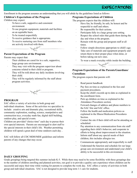# **EXPECTATIO**

#### Enrollment in the program assumes an understanding that you will abide by the guidelines listed as follows

#### **Children's Expectations of the Program**

Children may expect:

- To have a safe, supportive and consistent environment.
- · To use program equipment, materials and facilities on an equitable basis.
- · To be treated respectfully
- To receive guidance that is appropriate.
- To receive nurturing care from staff members who are actively involved with them.



# **Parent Expectations of the Program**

Parents may expect that:

- Their children are cared for in a safe, supportive, large group care environment.
- · They may visit with the program supervisor about concerns related to their child or program.
- · They will be told about any daily incidents involving their child.
- They will be regularly informed by the staff about program activities.

# **PROGRAM**

·

SAC offers a variety of activities in both group and individual situations. Some of the activities we specialize in include: creative arts and dramatic play, recreational skills, community exploration, reading, science, manipulative and construction toys, everyday math fun, digital skill building, outdoor play, and special events.

Children are provided "choice time" each day to pursue their own special interests. Parents are encouraged to alert staff to the special interests in their child's life. Weather permitting children will spend a great deal of time outdoors each day. .

SAC will follow all CDC/MDH/MDE guidelines and inform parents of any changes that may occur.

# **Programs Expectations of Children**

The program expects that the children will:

- Have fun, be friendly, be safe, be honest and be respectful to staff and others.
- · Be responsible for their actions.
- Participate fully in a large group care setting.
- Respect the school rules that guide them during the day and when at the program.
- · Remain with the group and program staff at all times.
- Follow simple directions appropriate to child's age.
- Take care of materials and equipment properly and return them to their proper place when done, or before taking out new ones.
- To wear a mask everyday while inside the building.

## **Program Expectations of the Parents/Guardians/ Custodians**

The program expects that parents will:

- · Read parent handbook
- · Pay fees on time as explained in the fees and payment procedures.
- Keep the child's records up-to-date as explained in the enrollment form.
- · Pick up children on time as explained in the Attendance Procedures section.
- · Forward changes of address and phone numbers to the SAC Site and SAC office.
- · Follow the health and medication policies as explained in the Illness/Medication Procedures Section.
- Contact the site if their child will not be attending as scheduled.
- Pay attention to any communication from site staff regarding their child's behavior, and cooperate in efforts to bring about improvement to the situation.
- · Inform staff about any special needs of their children, this includes allergies too.
- · Communicate appropriately and respectfully to staff.
- Understand the function and schedule for our large group care environment and understand your child's ability to be successful in this environment.

## **DAILY GROUPING**

Grade groupings being targeted this summer include K-5. While there may need to be some flexibility with these groupings due to the number of children enrolling and planned activities, our goal is to provide a quality care experience where children can be successful and enjoy their time while waiting for parents to complete the work day. SAC offers a variety of activities in both group and individual situations. SAC is not designed to provide long term 1:1 care for students.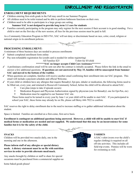# **ENROLLMENT AND REGISTRATION**

# **ENROLLMENT REQUIREMENTS**

- $\checkmark$  Children entering first-sixth grade in the Fall may enroll in our Summer Program
- $\angle$  All children need to be toilet trained and be able to perform bathroom functions on their own.
- ✓ Children need to be able to participate in a large group care setting.

# **Summer SAC is not designed to provide long term 1:1 care for students**

 $\checkmark$  Families currently participating in the program may only register for the next session if their account is in good standing. For a child to start on the first day of the new session, all fees for the previous session must be paid in full.

As a Community Education Program in ISD #761, SAC will not deny or discriminate based on race, color, creed, religion or national origin in its enrollment policies.

# The Company of the Company of

# **PROCESSING ENROLLMENT:**

A minimum of three business days are needed to process enrollments

- Submit completed enrollment form online
- ✓ Pay non-refundable registration fee (credit card is needed for online registering)

## All Families \$25 T-shirt fee \$5/child

# **\*\*\*\*\*\*\*SAC no longer accepts Child Care Assistance\*\*\*\*\*\*\***

- ✓ A preliminary confirmation email will be sent out after the contract is initially accepted. Please follow the link in the email to answer a few additional questions. **If questions are not answered by May 15, families will be unaccepted from Summer SAC and moved to the bottom of the waitlist.**
- ✓ When questions are complete, families will receive another email confirming their enrollment into our SAC program. This email will include a payment schedule and official Welcome.
- $\checkmark$  If your child or children have any allergies that require Benadryl, Epi-pen, inhaler or medication, the following forms need to be filled out, every year, and returned to Roosevelt Community School, before the child will be allowed to attend SAC.
	- $\Diamond$  Care plan (steps to take if episode occurs)
	- ✧ Medication Request and Physician Authorization signed by physician (one for Benadryl, one for Epi-Pen, etc)
	- ✧ Medication must be supplied to our Summer SAC site.

These forms need to be turned in every year by June 1 or your child will be unable to start SAC. If you participated in school year SAC, these forms may already be on file, please call Betsy 444-7922 to confirm.

SAC reserves the right to delay enrollment due to the need to increase staffing or to gather additional information about the student.

Space is limited. Families are enrolled on a first-come, first-serve basis.

Enrollment is contingent on additional questions being answered. However, a child will still be unable to start SAC if medical forms or medication are needed and not supplied. We understand that this may be an inconvenience for some **families but it is for the safety of the child.**

## **SNACKS**

Children will be provided two snacks daily, one in the morning and one in the afternoon.

**Please inform staff of any allergies or special dietary needs. A dietary statement must be on file with nutrition services in order to provide alternate meal/snack.**

Any snacks brought by children or staff to share for special occasions must be purchased from a commercial supplier-no

home baked goods please!



# **T-SHIRTS**

A SAC t-shirt (worn over the child's regular clothing) is required on all off-site activities. This includes all field trip events. Pennies will be worn for swimming as well.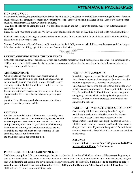# **ATTENDANCE PROCEDURES**

## **SIGN IN/SIGN OUT**

For your child's safety, the parent/adult who brings the child to SAC must sign your child in every morning and every afternoon, must be included as emergency contacts on your family profile. Staff will be signing children in/out. Drop off/ pick up people must still escort their child part way into the building.

**SAC kids should not be using the iPad.** It is for adults to sign in and out. (Failure to comply may result in termination of contract).

Please tell staff your name at pick up. We have a lot of adults coming to pick up SAC kids and it is hard to remember all faces.

Staff will make every effort to greet parents as they come on site. In the event staff is involved in an activity with the children, please alert staff to your presence.

Summer SAC does not allow children to walk to or from site for liability reasons. All children must be accompanied and signed in/out by an adult or sibling, age 13 & over to and from the SAC site.

# **PARENT ARRIVING UNDER THE INFLUENCE**

SAC staff members, as school district employees, are mandated reporters of child endangerment concerns. If a parent arrives at SAC to pick up their child(ren) and a staff member has a reason to believe that the parent is under the influence of alcohol or drugs, certain steps will be taken.

# **AUTHORIZATIONS**

When registering your child for SAC, please name all persons authorized to pick-up your child and anyone who is not allowed to pick up your child. In order for us to legally stop a non-custodial adult from taking a child, a copy of the court order must be on file.

Please inform the staff in advance, preferably in writing, if someone other than a parent or guardian is to pick up your child.

A picture ID will be requested when someone other than a parent or guardian picks up a child.

# **LUNCHES**

Lunches are included in the daily care fee. A monthly menu will be posted at the site. **Due to food safety issues, we will be serving lunch from 11:30-12:00.** We will hold lunch until just shortly after noon. If your child is off site during lunchtime and returning for the afternoon, please see that your child has been fed lunch prior to returning. If your child does not care for the menu for the day, please send a bag lunch for them.

# **EMERGENCY CONTACTS**

In addition to parents, please list at least three people with local phone numbers on the emergency form who can pick your child up from SAC in case of an emergency. Unfortunately people who are out-of-town are too far away to help in emergency situations. It is important that families keep the staff and SAC office informed about changes for emergency contacts which can be updated in your online profile. Children will not be released to individuals not authorized to pick-up.

## **PARTICIPATION IN ACTIVITIES OUTSIDE SAC**

Occasionally children leave during their SAC day to participate in various activities (i.e. swimming lessons, scouts, music lessons) families are responsible for transportation to and from their child's additional activities. Children are to be signed in/out of SAC site by the parent or designee each time. If you child is registered for enrichment camps at Roosevelt, please let staff know so we can get them to their class.

## **ABSENCE**

If your child will be absent from SAC, **please call 444-7936 no later than 8:45 a.m.** for lunch counts.

## **PROCEDURE FOR LATE PARENT PICK UP**

SAC closes promptly at 5:30 p.m. according to the clock at the site. A late fee of **\$1.00** per minute will be assessed beginning at 5:31 p.m. Three late pick-ups could result in termination of the contract. Should a child remain at SAC after the closing time, the staff will attempt to call parents and any persons listed on your authorized pick up list. **Should no one be available or able to** come for the child, and if the parent has not arrived by 6:00 p.m., the Owatonna Police Department will be called. The child will then be turned over into their custody.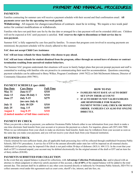# PAYMENT AND FINANCIAL PROCEDURES

# **PAYMENTS**

Families contracting for summer care will receive a payment schedule with their second and final confirmation email. **All payments cover care for the upcoming two-week period.**

**Withdrawing:** All requests for changes/cancellation of contracts must be in writing. We require a two week paid notice for contract modifications or withdrawals.

Families who have not paid their care fee by the due date or arranged for a late payment will not be extended child care. Children will not be expected at SAC until payment is satisfied. **SAC reserves the right to discontinue or limit service due to non-payment.**

Summer SAC is fully supported by care fees paid by families. To ensure that program costs involved in securing payments are minimized, the payment schedule will be closely adhered to this summer.

## **SAC does not accept Child Care Assistance**

#### **SAC will not issue refunds for those families who choose to pay ahead.**

## SAC will not issue refunds for student dismissal from the program, either through an earned leave of absence or contract **termination resulting from unresolved student behaviors.**

The Summer SAC program understands that situations will occur in family budget plans that prevent prompt payment and staff is committed to working with families who are proactive in communicating their need for accommodation. Questions concerning payment schedules can be addressed to Betsy Wilker, Program Coordinator (444-7922) or Deb McDermott-Johnson, Director of Community Education (444-7901).



|                  | <b>PAYMENT SCHEDULE (per child)</b>     |                  |                                                                                                                                             |
|------------------|-----------------------------------------|------------------|---------------------------------------------------------------------------------------------------------------------------------------------|
| <b>Due Date</b>  | <b>Care Dates</b>                       | <b>Full-Time</b> | <b>HOW TO PAY</b>                                                                                                                           |
| May 31           | <b>June 6-17</b>                        | <b>\$310</b>     | $\triangleright$ FAMILIES MUST HAVE AN AUTO DEBIT<br><b>SET UP ON THEIR ACCOUNT</b><br>$\triangleright$ IF AUTO DEBIT IS NOT VALID FAMILIES |
| June 13          | June 20-July 1                          | <b>\$310</b>     |                                                                                                                                             |
| June 27          | <b>July 5-15</b>                        | \$279            |                                                                                                                                             |
| (no care July 4) |                                         |                  | ARE RESPONSIBLE FOR MAKING                                                                                                                  |
| July 11          | <b>July 18-329</b>                      | <b>\$310</b>     | PAYMENT WITH CASH, CHECK OR MONEY<br>ORDER. FAMILIES CAN ALSO PAY ONLINE                                                                    |
| July 25          | <b>Aug. 1-5</b>                         | \$155            |                                                                                                                                             |
| <b>August 1</b>  | <b>Aug 8-19</b>                         | <b>\$310</b>     | <b>DIRECTLY.</b>                                                                                                                            |
|                  | (Limited number of full time contracts) |                  |                                                                                                                                             |

# **PAYMENT BY CHECK**

When you provide a check as payment, you authorize Owatonna Public Schools either to use information from your check to make a one-time electronic fund transfer from your account or to process the payment as a check. For inquiries, please call (507) 444-7900. When we use information from your check to make an electronic fund transfer, funds may be withdrawn from your account as soon as the same day you make your payment, and you will not receive your check back from your financial institution.

# **RETURNED CHECK**

Checks returned for non-sufficient funds, plus all applicable bank-processing fees will be collected through established Owatonna Public Schools, ISD #761 procedures. A service fee of \$30 or the amount allowable under state law will be imposed on all returned checks. Additional civil penalties may be imposed if the check is not paid within 30-days of dishonor. (M.S.A. 604.113) In the event that your draft or EFT is returned unpaid, your account may be debited electronically for the original amount of the draft or EFT and an item fee of thirty dollars (\$30.00).

## **PAYMENTS SUBMITTED FOR COLLECTION**

In the event that any unpaid balance is placed for collections, with **Advantage Collection Professionals, Inc**. and/or placed with an attorney to obtain judgment or otherwise satisfy payment of this account, a **fee of 40%** of the unpaid balance will be added to the total amount due. This amount shall be in addition to any other costs incurred directly or indirectly by Owatonna Public Schools, ISD #761 to collect amounts owed under this agreement such as court costs, sheriff's fee, interest, and late fees, etc.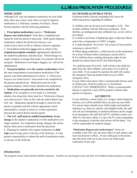# **ILLNESS/MEDICATION PROCEDURES**

# **MEDICATION**

Although SAC may not dispense medication for your child daily, there may come a time when we need to dispense medication (i.e. field trips, summer, Fun Days). Please become familiar with the following guidelines.

1. **Prescription medications** require a *"Medication Request and Authorization"* form that is completed and signed by both the parent or physician. Staff cannot dispense medication without the *Medication Request and Authorization* form on file or without a doctor's signature. 2. Prescription medication must come to school in the **original prescription container** appropriately labeled for the student by pharmacy and physician. Mixed dosage in a single container or dosage that needs to be altered will not be accepted. Medication in envelopes, baggies, etc. will not be administered.

3. **Non-prescription / over the counter medications** follow the same requirements as prescription medications if the parents want them administered in school. A *"Medication Request and Authorization"* form needs to be completed by the parents and physician. Medication must be in the original container, which clearly identifies the medication.

4. **Medications are generally not to be carried by the student.** If an exception is to be made (i.e. bronchial inhalers, bee sting kits), there must be a *"Medication Request and Authorization"* form on file with the school district and SAC site. Medication should be brought to school by the parent or guardian and left with the appropriate school representative, except as noted in a written agreement between the school district and the parent.

5. **The SAC staff must be notified immediately of any change** in the student's medication or if the medication is no longer required. For medication dosage changes, the school district must receive notification from the physician.

6. Planning for students who require medication on **field trips** must be done prior to the day of the field trip. It is the parent's responsibility to inform the staff of medication needs in advance of the field trip.

#### **ILLNESS/HEALTH PRACTICES**

Owatonna Public Schools (including SAC) have the following practice regarding ill children:

**1.** Children who are ill must not be brought to SAC. This includes children with the following symptoms: fever, diarrhea, an undiagnosed rash, inflamed eyes, severe cold or sore throat.

**2.** A child is sent home if displaying signs of physical illness and/or has a temperature of 100°F or higher.

**3**. A child should be "fever-free" for at least 24 hours before returning to school (SAC).

**4.** When taking antibiotics, a child must be on the medication for at least 24 hours before returning to school (SAC). **5.** If a child has been vomiting during the night, he/she should not attend school (SAC) the following day.

If a child becomes ill at SAC, staff will have the child rest apart from the other children, and contact you to pick up your child. If you cannot be reached, the staff will contact the emergency back-up people listed on your child's emergency form.

If your child comes down with a communicable disease such as chicken pox, head lice, pink eye or strep throat, CONTACT SAC IMMEDIATELY. When a communicable disease is reported, a note will be posted to inform other

parents of exposure.

## **ACCIDENTS**

If your child has a minor injury (i.e. scrapes, minor bumps  $\&$ bruises), you will be notified when you pick up your child. If a serious injury should occur which might need medical attention (e.g. deep cut, sprains, and chipped tooth), the staff will call you immediately so medical attention can be sought. In an emergency, the staff will call 911 and then contact you. After 911 has been called, it is up to the 911 team responding to the emergency to decide what actions will be taken. You will be responsible for medical charges

*"Medication Request and Authorization"* forms are available at the SAC site, the main office at each school, and most local doctor's offices. If your child goes to the doctor, take this form with you in the event your child needs medication of any type.

## **INSURANCE**

The program carries school district liability insurance. Families are encouraged to provide their own health/accident insurance coverage.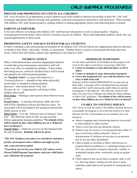# CHILD GUIDANCE PROCEDURES

# **PROCESS FOR PROMOTING SUCCESS IN ALL CHILDREN**

SAC views *discipline* as an opportunity to teach children social skills needed to function successfully in daily life. SAC staff encourages appropriate behavior through clear guidelines, consistent consequences and positive staff interaction. When working with children, SAC staff remains proactive, guiding children in making appropriate choices and redirecting them as needed.

# **PARENTS AS PARTNERS**

To be more effective in working with children, SAC staff team up with parents to work on issues together. Ongoing communication between home, school and SAC promotes success for children. When staff understand children's needs, they can respond appropriately to those needs.

# **PROMOTING SAFETY AND SELF-ESTEEM FOR ALL STUDENTS:**

In order to maintain a safe and nurturing environment for all children, SAC will not tolerate any inappropriate behavior that hurts or intends to hurt others: physically, verbally, or emotionally. Children deserve a positive environment that helps them feel secure, fosters their self-esteem, and provides opportunity to develop new skills.

# **INCIDENT NOTICE**

When a child demonstrates consistent inappropriate behavior or needs that go beyond program expectations, staff will make every effort to remediate the problem. If their efforts don't bring success, a behavior Incident Notice will be issued and signed by the staff and parent/guardian.

An **"Incident Notice"** is issued when behavior is:

*Unwanted/offensive* -- intended to hurt others physically,

emotionally, or intended to damage property

*Repeated* -- intervention doesn't work, and …

*Disrupts the site* -- impacting the well-being of other children and/or staff.

*First Notice* -- Warning to alert parents about behavior issues in SAC

*Second Notice* -- A meeting with parent, child, and SAC staff will be scheduled to discuss the behavior issues. An action plan will be developed at the meeting to promote the child's success in SAC.

*Third Notice* -- Five-day "behavior leave of absence" from SAC. The child may return to SAC as long as he/she follows appropriate program guidelines.**\*No refunds of fees will be issued on days when children are on a "behavior leave of absence".**

*Fourth Notice* -- Child care services are discontinued until the end of summer. **Refunds will not be given**.

# *\*The SAC Guidance procedures are intended to maintain a positive environment where children and staf can feel safe, respected and accepted.*

*\*To promote success for your child in SAC, please review Parent/Child/Program Expectations with your child before your child joins the program.*

# **IMMEDIATE SUSPENSION**

For the safety and benefit of all children in the program, SAC reserves the right to *immediately suspend* any child who:

- **● Causes or attempts to cause physical injury to self or others**
- **● Causes or attempts to cause destruction of property**
- **● Leaves the designated SAC area with the intent to run away or hide from staff.**

Parent(s) will be notified IMMEDIATELY to come pick up their child. A meeting will be scheduled between parent(s), child, and SAC staff to discuss the child's behavior and the consequence of the behavior. The child may return to SAC after a five day leave of absence providing the child continues to follow SAC guidelines. **\*No refunds of fees will be issued on days when children are on a "behavior leave of absence"**

# **UNABLE TO CONTINUE SERVICE**

SAC strives to meet the needs of all children enrolled; however, occasionally our program is not in the best interest of a child. Reasons for SAC to discontinue service includes, but is not limited to:

- Abusive language and/or threatening behavior toward staff or other children by child or parent.
- Three or more late pick-ups during the summer.
- Failure to pay for services or set up payment plan within 14 days of receiving a billing statement. Notice of discontinuation of childcare services due to non-payment may be put into effect immediately.
- Child is unable or unwilling to follow staff direction or program behavior guidelines (i.e. wandering/running out of SAC area, destruction of property, physically, verbally, or emotionally hurting others, consistently acting out against staff).
- Child's behavior that can do harm to students, staff, or self (i.e. throwing objects, striking out with intent to harm, exploding temper that has the potential of causing physical injury).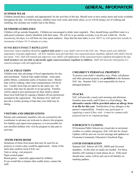# **GENERAL INFORMATION**

#### **SUMMER WEAR**

Children should dress casually and appropriately for the activities of the day. Should wear or have tennis shoes and socks available throughout the day. On field trip days, children must wear socks and tennis shoes, as we will be doing a lot of walking and climbing, this includes our weekly trip to the library.

# **OUTDOOR GUIDELINES**

Children will go outside frequently. Children are encouraged to drink water regularly. They should bring a prefilled water in a spill-proof container, clearly identified with their name. We will try to go outside everyday, even for just a little bit. On the excessively, hot days, we will limit our time spent outdoors. Days that the heat index is over 100°F we will spend time outside in increments of about 10-15 minutes at a time.

#### **SUNSCREEN/INSECT REPELLENT**

Sunscreen /insect repellent should be **applied daily prior** to your child's arrival at the SAC site. Please teach your child the importance of proper application. All SAC families must provide their own sunscreen/insect repellent, labeled with child's first & last name. SAC staff will remind and supervise your child's self-application of the sunscreen/insect repellent throughout the day. **Staff members are not able to physically apply sunscreen/insect repellent to children.** Staff will network with parents if a concern emerges with self-application.

## **LOCAL FIELD TRIPS**

Children may take advantage of local opportunities for fun and enrichment. Typical trips might include: water park, public library, community parks or business tours. Shorter trips will be walking, other times transportation will be by bus. Usually local trips are taken by the entire site. On occasion, trips may be specific to an age group. Families will be asked to give permission for their child to attend these local field trips by signing a blanket off-site permission included in the registration. The Summer SAC staff will provide a weekly posting of trips that your child may be taking.

## **VISITORS AND OBSERVATIONS**

Parents and community members who are screened by the coordinator in advance are welcome to observe the program. For liability and supervision purposes, it is not possible for non-enrolled children who visit the program to take part in activities

## **ITEMS FROM HOME**

Donations of items from home that may be used for art projects or creative play would be appreciated. Some of the items that could be used at SAC are: Yarn or string - (art projects)

Paper-scratch paper

Board games - especially appreciated by children If you would like to donate other usable items, contact the staff.

## **CHILDREN'S PERSONAL PROPERTY**

To protect your child's valuables; toys, iPods, cell phones and other personal property are **prohibited** at the Summer SAC site. Summer SAC is not responsible for lost or damaged property.

#### **SNACKS**

SAC will provide a snack each morning and afternoon. Families must notify staff if there is a food allergy. **No alternative snacks will be provided unless an allergy form is on file for this year.** Notification of any allergies is the parent's responsibility. *Families may participate in supplying a snack if they wish – it must be commercially prepared and in its original package.*

## **EMERGENCY CLOSING**

If Owatonna Public Schools are closed due to inclement weather or a utility emergency, SAC will also be closed. Updates will be sent out via text message and updated on Owatonna Community Education's Facebook Page.

# **COVID INFORMATION**

Summer SAC follows all CDC, MDH and Governor mandates. At this time no masks are needed. For those families still wanting to mask please do so. If the need should arise, notice will be sent out to all families on masking updates.